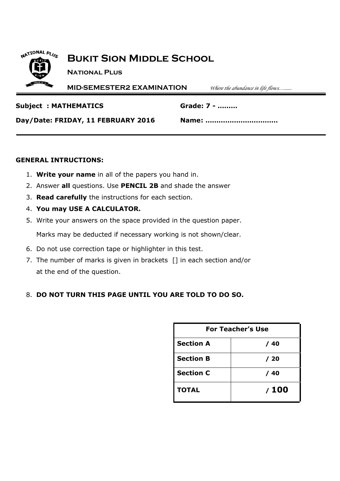

## **Bukit Sion Middle School**

**National Plus**

**MID-SEMESTER2 EXAMINATION** *Where the abundance in life flows…......*

#### **Subject : MATHEMATICS Grade: 7 - ………**

**Day/Date: FRIDAY, 11 FEBRUARY 2016 Name: ……………………………**

### **GENERAL INTRUCTIONS:**

- 1. **Write your name** in all of the papers you hand in.
- 2. Answer **all** questions. Use **PENCIL 2B** and shade the answer
- 3. **Read carefully** the instructions for each section.
- 4. **You may USE A CALCULATOR.**
- 5. Write your answers on the space provided in the question paper.

Marks may be deducted if necessary working is not shown/clear.

- 6. Do not use correction tape or highlighter in this test.
- 7. The number of marks is given in brackets [] in each section and/or at the end of the question.

## 8. **DO NOT TURN THIS PAGE UNTIL YOU ARE TOLD TO DO SO.**

| <b>For Teacher's Use</b> |       |  |
|--------------------------|-------|--|
| <b>Section A</b>         | / 40  |  |
| <b>Section B</b>         | / 20  |  |
| <b>Section C</b>         | / 40  |  |
| <b>TOTAL</b>             | / 100 |  |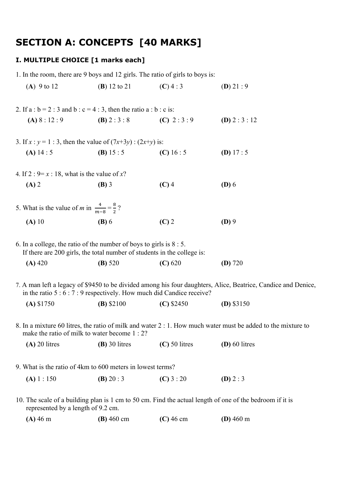# **SECTION A: CONCEPTS [40 MARKS]**

## **I. MULTIPLE CHOICE [1 marks each]**

|                                                                     | 1. In the room, there are 9 boys and 12 girls. The ratio of girls to boys is:                                                                   |                 |                                                                                                               |
|---------------------------------------------------------------------|-------------------------------------------------------------------------------------------------------------------------------------------------|-----------------|---------------------------------------------------------------------------------------------------------------|
| (A) $9$ to 12                                                       | ( <b>B</b> ) 12 to 21                                                                                                                           | $(C)$ 4 : 3     | (D) 21:9                                                                                                      |
|                                                                     | 2. If $a : b = 2 : 3$ and $b : c = 4 : 3$ , then the ratio $a : b : c$ is:                                                                      |                 |                                                                                                               |
|                                                                     | (A) $8:12:9$ (B) $2:3:8$ (C) $2:3:9$                                                                                                            |                 | (D) $2:3:12$                                                                                                  |
|                                                                     | 3. If $x : y = 1 : 3$ , then the value of $(7x+3y) : (2x+y)$ is:                                                                                |                 |                                                                                                               |
| (A) $14:5$                                                          | (B) $15:5$ (C) $16:5$                                                                                                                           |                 | (D) $17:5$                                                                                                    |
| 4. If $2: 9=x:18$ , what is the value of x?                         |                                                                                                                                                 |                 |                                                                                                               |
| $(A)$ 2                                                             | $(B)$ 3                                                                                                                                         | $(C)$ 4         | $(D)$ 6                                                                                                       |
| 5. What is the value of <i>m</i> in $\frac{4}{m-8} = \frac{8}{2}$ ? |                                                                                                                                                 |                 |                                                                                                               |
| $(A)$ 10                                                            | $(B)$ 6                                                                                                                                         | $(C)$ 2         | $(D)$ 9                                                                                                       |
|                                                                     | 6. In a college, the ratio of the number of boys to girls is $8:5$ .<br>If there are 200 girls, the total number of students in the college is: |                 |                                                                                                               |
| $(A)$ 420                                                           | (B) 520                                                                                                                                         | (C) 620         | $(D)$ 720                                                                                                     |
|                                                                     | in the ratio $5:6:7:9$ respectively. How much did Candice receive?                                                                              |                 | 7. A man left a legacy of \$9450 to be divided among his four daughters, Alice, Beatrice, Candice and Denice, |
| $(A)$ \$1750                                                        | $(B)$ \$2100                                                                                                                                    | $(C)$ \$2450    | $(D)$ \$3150                                                                                                  |
|                                                                     | make the ratio of milk to water become 1 : 2?                                                                                                   |                 | 8. In a mixture 60 litres, the ratio of milk and water 2 : 1. How much water must be added to the mixture to  |
| $(A)$ 20 litres                                                     | $(B)$ 30 litres                                                                                                                                 | $(C)$ 50 litres | $(D)$ 60 litres                                                                                               |
|                                                                     | 9. What is the ratio of 4km to 600 meters in lowest terms?                                                                                      |                 |                                                                                                               |
| (A) 1 : 150                                                         | <b>(B)</b> 20 : 3                                                                                                                               | (C) $3:20$      | (D) $2:3$                                                                                                     |
| represented by a length of 9.2 cm.                                  |                                                                                                                                                 |                 | 10. The scale of a building plan is 1 cm to 50 cm. Find the actual length of one of the bedroom if it is      |

**(A)** 46 m **(B)** 460 cm **(C)** 46 cm **(D)** 460 m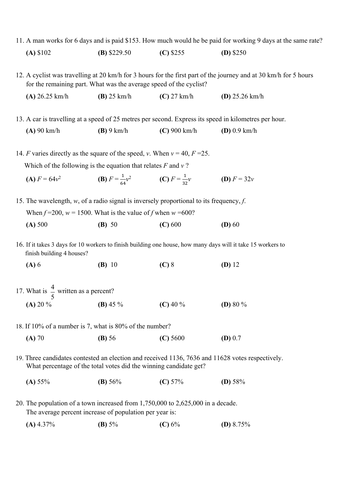11. A man works for 6 days and is paid \$153. How much would he be paid for working 9 days at the same rate?

| (A) \$102 | (B) $$229.50$ | $(C)$ \$255 | $(D)$ \$250 |
|-----------|---------------|-------------|-------------|
|-----------|---------------|-------------|-------------|

12. A cyclist was travelling at 20 km/h for 3 hours for the first part of the journey and at 30 km/h for 5 hours for the remaining part. What was the average speed of the cyclist?

**(A)** 26.25 km/h **(B)** 25 km/h **(C)** 27 km/h **(D)** 25.26 km/h

13. A car is travelling at a speed of 25 metres per second. Express its speed in kilometres per hour.

**(A)** 90 km/h **(B)** 9 km/h **(C)** 900 km/h **(D)** 0.9 km/h

14. *F* varies directly as the square of the speed, *v*. When  $v = 40$ ,  $F = 25$ . Which of the following is the equation that relates *F* and *v* ?

- $(A)$   $F = 64v^2$ &  $\frac{1}{64}v^2$  **(C)**  $F = \frac{1}{32}$ 32 **(D)**  $F = 32v$
- 15. The wavelength, *w*, of a radio signal is inversely proportional to its frequency, *f*. When  $f = 200$ ,  $w = 1500$ . What is the value of *f* when  $w = 600$ ?
	- **(A)** 500 **(B)** 50 **(C)** 600 **(D)** 60
- 16. If it takes 3 days for 10 workers to finish building one house, how many days will it take 15 workers to finish building 4 houses?

**(A)** 6 **(B)** 10 **(C)** 8 **(D)** 12

- 17. What is  $\frac{1}{x}$  written as a percent? **(A)** 20 % **(B)** 45 % **(C)** 40 % **(D)** 80 % 5 4
- 18. If 10% of a number is 7, what is 80% of the number?
	- **(A)** 70 **(B)** 56 **(C)** 5600 **(D)** 0.7
- 19. Three candidates contested an election and received 1136, 7636 and 11628 votes respectively. What percentage of the total votes did the winning candidate get?
	- **(A)** 55% **(B)** 56% **(C)** 57% **(D)** 58%
- 20. The population of a town increased from 1,750,000 to 2,625,000 in a decade. The average percent increase of population per year is:
	- **(A)** 4.37% **(B)** 5% **(C)** 6% **(D)** 8.75%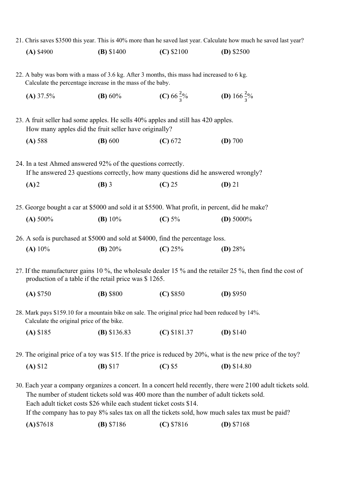| $(A)$ \$4900                              | $(B)$ \$1400                                                                                                                                              | $(C)$ \$2100           | $(D)$ \$2500                                                                                                 |
|-------------------------------------------|-----------------------------------------------------------------------------------------------------------------------------------------------------------|------------------------|--------------------------------------------------------------------------------------------------------------|
|                                           | 22. A baby was born with a mass of 3.6 kg. After 3 months, this mass had increased to 6 kg.<br>Calculate the percentage increase in the mass of the baby. |                        |                                                                                                              |
| $(A)$ 37.5%                               | (B) $60\%$                                                                                                                                                | (C) 66 $\frac{2}{3}$ % | (D) 166 $\frac{2}{3}$ %                                                                                      |
|                                           | 23. A fruit seller had some apples. He sells 40% apples and still has 420 apples.<br>How many apples did the fruit seller have originally?                |                        |                                                                                                              |
| (A) 588                                   | (B) 600                                                                                                                                                   | (C) 672                | (D) 700                                                                                                      |
|                                           | 24. In a test Ahmed answered 92% of the questions correctly.<br>If he answered 23 questions correctly, how many questions did he answered wrongly?        |                        |                                                                                                              |
| (A)2                                      | $(B)$ 3                                                                                                                                                   | $(C)$ 25               | $(D)$ 21                                                                                                     |
|                                           | 25. George bought a car at \$5000 and sold it at \$5500. What profit, in percent, did he make?                                                            |                        |                                                                                                              |
| (A) 500%                                  | (B) $10\%$                                                                                                                                                | (C) $5\%$              | (D) $5000\%$                                                                                                 |
|                                           | 26. A sofa is purchased at \$5000 and sold at \$4000, find the percentage loss.                                                                           |                        |                                                                                                              |
| (A) $10\%$                                | (B) $20%$                                                                                                                                                 | (C) $25%$              | (D) $28%$                                                                                                    |
|                                           | production of a table if the retail price was \$1265.                                                                                                     |                        | 27. If the manufacturer gains 10 %, the wholesale dealer 15 % and the retailer 25 %, then find the cost of   |
| $(A)$ \$750                               | $(B)$ \$800                                                                                                                                               | $(C)$ \$850            | $(D)$ \$950                                                                                                  |
| Calculate the original price of the bike. | 28. Mark pays \$159.10 for a mountain bike on sale. The original price had been reduced by 14%.                                                           |                        |                                                                                                              |
| $(A)$ \$185                               | $(B)$ \$136.83                                                                                                                                            | $(C)$ \$181.37         | $(D)$ \$140                                                                                                  |
|                                           |                                                                                                                                                           |                        | 29. The original price of a toy was \$15. If the price is reduced by 20%, what is the new price of the toy?  |
| (A) \$12                                  | (B) \$17                                                                                                                                                  | $(C)$ \$5              | (D) $$14.80$                                                                                                 |
|                                           | The number of student tickets sold was 400 more than the number of adult tickets sold.                                                                    |                        | 30. Each year a company organizes a concert. In a concert held recently, there were 2100 adult tickets sold. |

21. Chris saves \$3500 this year. This is 40% more than he saved last year. Calculate how much he saved last year?

Each adult ticket costs \$26 while each student ticket costs \$14.

If the company has to pay 8% sales tax on all the tickets sold, how much sales tax must be paid?

**(A)**\$7618 **(B)** \$7186 **(C)** \$7816 **(D)** \$7168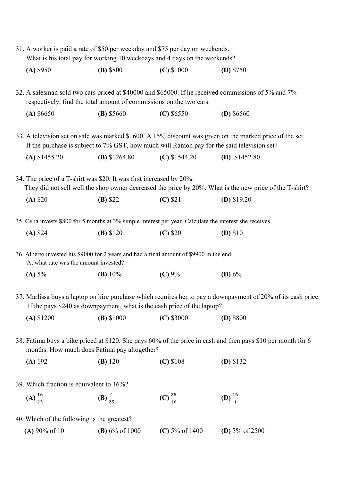| 31. A worker is paid a rate of \$50 per weekday and \$75 per day on weekends.<br>What is his total pay for working 10 weekdays and 4 days on the weekends? |                    |                     |                                                                                                               |
|------------------------------------------------------------------------------------------------------------------------------------------------------------|--------------------|---------------------|---------------------------------------------------------------------------------------------------------------|
| $(A)$ \$950                                                                                                                                                | $(B)$ \$800        | $(C)$ \$1000        | (D) $$750$                                                                                                    |
| respectively, find the total amount of commissions on the two cars.                                                                                        |                    |                     | 32. A salesman sold two cars priced at \$40000 and \$65000. If he received commissions of 5% and 7%           |
| (A) \$6650                                                                                                                                                 | $(B)$ \$5660       | $(C)$ \$6550        | (D) $$6560$                                                                                                   |
| If the purchase is subject to 7% GST, how much will Ramon pay for the said television set?                                                                 |                    |                     | 33. A television set on sale was marked \$1600. A 15% discount was given on the marked price of the set.      |
| $(A)$ \$1455.20                                                                                                                                            | $(B)$ \$1264.80    | $(C)$ \$1544.20     | (D) $$1452.80$                                                                                                |
| 34. The price of a T-shirt was \$20. It was first increased by 20%.                                                                                        |                    |                     | They did not sell well the shop owner decreased the price by 20%. What is the new price of the T-shirt?       |
| $(A)$ \$20                                                                                                                                                 | $(B)$ \$22         | $(C)$ \$21          | (D) $$19.20$                                                                                                  |
| 35. Celia invests \$800 for 5 months at 3% simple interest per year. Calculate the interest she receives.                                                  |                    |                     |                                                                                                               |
| (A) \$24                                                                                                                                                   | (B) \$120          | $(C)$ \$20          | $(D)$ \$10                                                                                                    |
| 36. Alberto invested his \$9000 for 2 years and had a final amount of \$9900 in the end.<br>At what rate was the amount invested?                          |                    |                     |                                                                                                               |
| (A) 5%                                                                                                                                                     | (B) $10\%$         | (C) 9%              | (D) $6\%$                                                                                                     |
| If the pays \$240 as downpayment, what is the cash price of the laptop?                                                                                    |                    |                     | 37. Marlissa buys a laptop on hire purchase which requires her to pay a downpayment of 20% of its cash price. |
| $(A)$ \$1200                                                                                                                                               | $(B)$ \$1000       | $(C)$ \$3000        | $(D)$ \$800                                                                                                   |
| months. How much does Fatima pay altogether?                                                                                                               |                    |                     | 38. Fatima buys a bike priced at \$120. She pays 60% of the price in cash and then pays \$10 per month for 6  |
| $(A)$ 192                                                                                                                                                  | (B) 120            | $(C)$ \$108         | $(D)$ \$132                                                                                                   |
| 39. Which fraction is equivalent to 16%?                                                                                                                   |                    |                     |                                                                                                               |
| (A) $\frac{16}{25}$                                                                                                                                        | (B) $\frac{4}{25}$ | (C) $\frac{25}{16}$ | (D) $\frac{16}{1}$                                                                                            |
| 40. Which of the following is the greatest?                                                                                                                |                    |                     |                                                                                                               |
| (A) $90\%$ of 10                                                                                                                                           | $(B)$ 6% of 1000   | (C) $5\%$ of 1400   | (D) $3\%$ of 2500                                                                                             |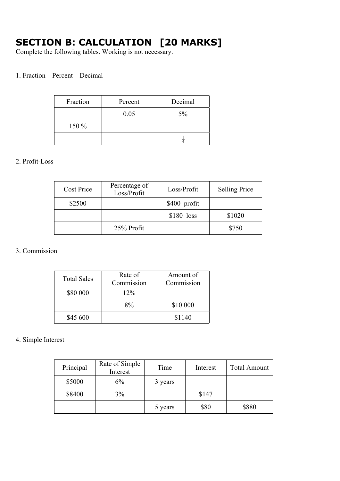# **SECTION B: CALCULATION [20 MARKS]**

Complete the following tables. Working is not necessary.

#### 1. Fraction – Percent – Decimal

| Fraction | Percent | Decimal |
|----------|---------|---------|
|          | 0.05    | 5%      |
| 150 %    |         |         |
|          |         |         |

#### 2. Profit-Loss

| <b>Cost Price</b> | Percentage of<br>Loss/Profit | Loss/Profit   | <b>Selling Price</b> |
|-------------------|------------------------------|---------------|----------------------|
| \$2500            |                              | $$400$ profit |                      |
|                   |                              | $$180$ loss   | \$1020               |
|                   | 25% Profit                   |               | \$750                |

#### 3. Commission

| <b>Total Sales</b> | Rate of<br>Commission | Amount of<br>Commission |
|--------------------|-----------------------|-------------------------|
| \$80 000           | $12\%$                |                         |
|                    | $8\%$                 | \$10 000                |
| \$45 600           |                       | \$1140                  |

### 4. Simple Interest

| Principal | Rate of Simple<br>Interest | Time    | Interest | <b>Total Amount</b> |
|-----------|----------------------------|---------|----------|---------------------|
| \$5000    | 6%                         | 3 years |          |                     |
| \$8400    | 3%                         |         | \$147    |                     |
|           |                            | 5 years | \$80     | \$880               |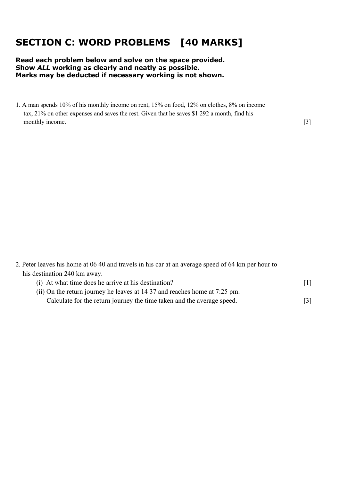# **SECTION C: WORD PROBLEMS [40 MARKS]**

#### **Read each problem below and solve on the space provided. Show** *ALL* **working as clearly and neatly as possible. Marks may be deducted if necessary working is not shown.**

1. A man spends 10% of his monthly income on rent, 15% on food, 12% on clothes, 8% on income tax, 21% on other expenses and saves the rest. Given that he saves \$1 292 a month, find his monthly income. [3]

2. Peter leaves his home at 06 40 and travels in his car at an average speed of 64 km per hour to his destination 240 km away.

| (i) At what time does he arrive at his destination?                        |  |
|----------------------------------------------------------------------------|--|
| (ii) On the return journey he leaves at 14 37 and reaches home at 7:25 pm. |  |
| Calculate for the return journey the time taken and the average speed.     |  |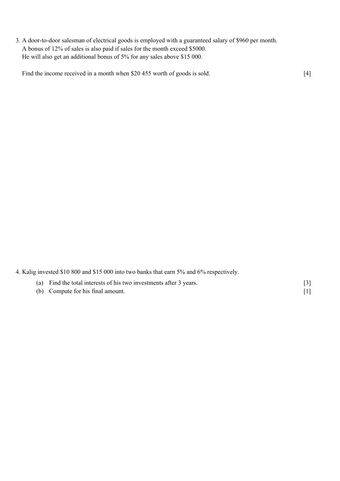3. A door-to-door salesman of electrical goods is employed with a guaranteed salary of \$960 per month. A bonus of 12% of sales is also paid if sales for the month exceed \$5000. He will also get an additional bonus of 5% for any sales above \$15 000.

Find the income received in a month when \$20 455 worth of goods is sold. [4]

4. Kalig invested \$10 800 and \$15 000 into two banks that earn 5% and 6% respectively.

| (a) Find the total interests of his two investments after 3 years. |  |
|--------------------------------------------------------------------|--|
| (b) Compute for his final amount.                                  |  |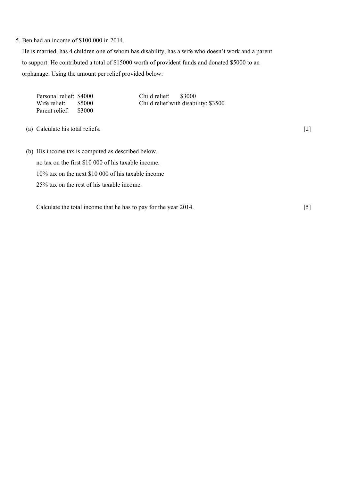#### 5. Ben had an income of \$100 000 in 2014.

 He is married, has 4 children one of whom has disability, has a wife who doesn't work and a parent to support. He contributed a total of \$15000 worth of provident funds and donated \$5000 to an orphanage. Using the amount per relief provided below:

| Personal relief: \$4000<br>Wife relief:<br>\$5000<br>Parent relief: \$3000 | Child relief:<br>\$3000<br>Child relief with disability: \$3500 |  |
|----------------------------------------------------------------------------|-----------------------------------------------------------------|--|
| (a) Calculate his total reliefs.                                           |                                                                 |  |

(b) His income tax is computed as described below. no tax on the first \$10 000 of his taxable income. 10% tax on the next \$10 000 of his taxable income 25% tax on the rest of his taxable income.

Calculate the total income that he has to pay for the year 2014. [5]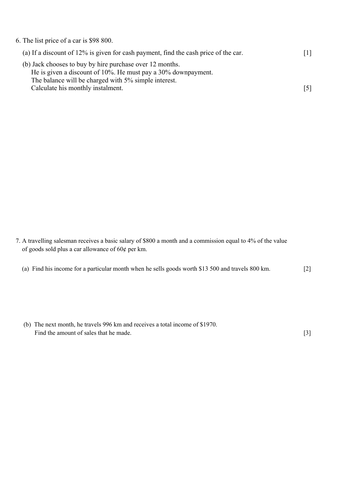| 6. The list price of a car is \$98 800.                                                                                                                                           |     |
|-----------------------------------------------------------------------------------------------------------------------------------------------------------------------------------|-----|
| (a) If a discount of 12% is given for cash payment, find the cash price of the car.                                                                                               | [1] |
| (b) Jack chooses to buy by hire purchase over 12 months.<br>He is given a discount of 10%. He must pay a 30% downpayment.<br>The balance will be charged with 5% simple interest. |     |
| Calculate his monthly instalment.                                                                                                                                                 |     |

- 7. A travelling salesman receives a basic salary of \$800 a month and a commission equal to 4% of the value of goods sold plus a car allowance of 60¢ per km.
	- (a) Find his income for a particular month when he sells goods worth \$13 500 and travels 800 km. [2]
	- (b) The next month, he travels 996 km and receives a total income of \$1970. Find the amount of sales that he made. [3]